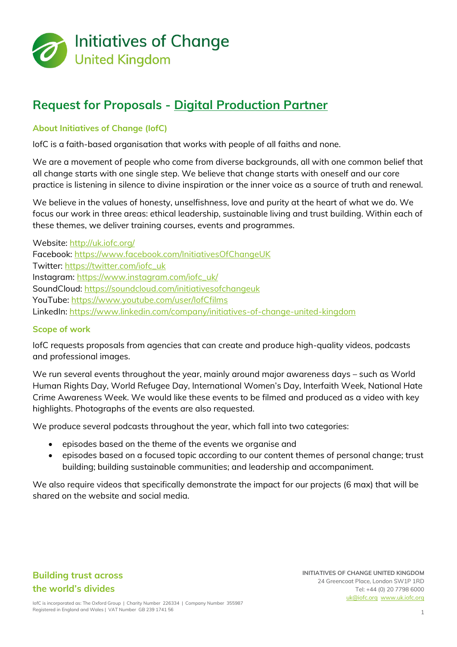

# **Request for Proposals - Digital Production Partner**

## **About Initiatives of Change (IofC)**

IofC is a faith-based organisation that works with people of all faiths and none.

We are a movement of people who come from diverse backgrounds, all with one common belief that all change starts with one single step. We believe that change starts with oneself and our core practice is listening in silence to divine inspiration or the inner voice as a source of truth and renewal.

We believe in the values of honesty, unselfishness, love and purity at the heart of what we do. We focus our work in three areas: ethical leadership, sustainable living and trust building. Within each of these themes, we deliver training courses, events and programmes.

Website:<http://uk.iofc.org/> Facebook: <https://www.facebook.com/InitiativesOfChangeUK> Twitter: [https://twitter.com/iofc\\_uk](https://twitter.com/iofc_uk) Instagram: [https://www.instagram.com/iofc\\_uk/](https://www.instagram.com/iofc_uk/) SoundCloud: <https://soundcloud.com/initiativesofchangeuk> YouTube: <https://www.youtube.com/user/IofCfilms> LinkedIn: <https://www.linkedin.com/company/initiatives-of-change-united-kingdom>

### **Scope of work**

IofC requests proposals from agencies that can create and produce high-quality videos, podcasts and professional images.

We run several events throughout the year, mainly around major awareness days – such as World Human Rights Day, World Refugee Day, International Women's Day, Interfaith Week, National Hate Crime Awareness Week. We would like these events to be filmed and produced as a video with key highlights. Photographs of the events are also requested.

We produce several podcasts throughout the year, which fall into two categories:

- episodes based on the theme of the events we organise and
- episodes based on a focused topic according to our content themes of personal change; trust building; building sustainable communities; and leadership and accompaniment.

We also require videos that specifically demonstrate the impact for our projects (6 max) that will be shared on the website and social media.

# **Building trust across the world's divides**

**INITIATIVES OF CHANGE UNITED KINGDOM** 24 Greencoat Place, London SW1P 1RD Tel: +44 (0) 20 7798 6000 [uk@iofc.org](mailto:uk@iofc.org) [www.uk.iofc.org](https://uk.iofc.org/) 

IofC is incorporated as: The Oxford Group | Charity Number 226334 | Company Number 355987 Registered in England and Wales | VAT Number GB 239 1741 56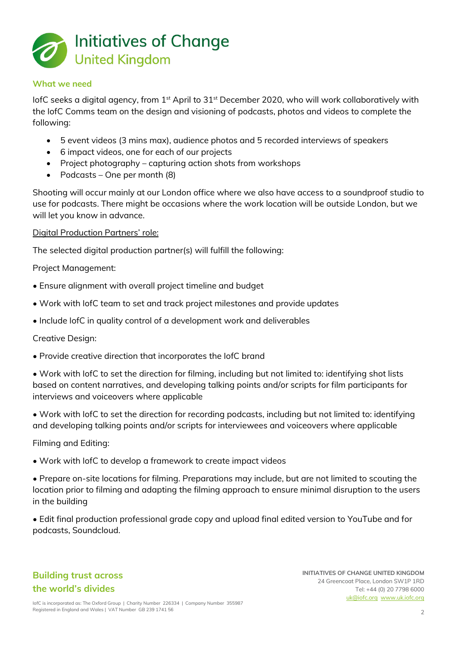

#### **What we need**

IofC seeks a digital agency, from 1<sup>st</sup> April to 31<sup>st</sup> December 2020, who will work collaboratively with the IofC Comms team on the design and visioning of podcasts, photos and videos to complete the following:

- 5 event videos (3 mins max), audience photos and 5 recorded interviews of speakers
- 6 impact videos, one for each of our projects
- Project photography capturing action shots from workshops
- Podcasts One per month  $(8)$

Shooting will occur mainly at our London office where we also have access to a soundproof studio to use for podcasts. There might be occasions where the work location will be outside London, but we will let you know in advance.

#### Digital Production Partners' role:

The selected digital production partner(s) will fulfill the following:

Project Management:

- Ensure alignment with overall project timeline and budget
- Work with IofC team to set and track project milestones and provide updates
- Include IofC in quality control of a development work and deliverables

Creative Design:

- Provide creative direction that incorporates the IofC brand
- Work with IofC to set the direction for filming, including but not limited to: identifying shot lists based on content narratives, and developing talking points and/or scripts for film participants for interviews and voiceovers where applicable
- Work with IofC to set the direction for recording podcasts, including but not limited to: identifying and developing talking points and/or scripts for interviewees and voiceovers where applicable

Filming and Editing:

- Work with IofC to develop a framework to create impact videos
- Prepare on-site locations for filming. Preparations may include, but are not limited to scouting the location prior to filming and adapting the filming approach to ensure minimal disruption to the users in the building
- Edit final production professional grade copy and upload final edited version to YouTube and for podcasts, Soundcloud.

# **Building trust across the world's divides**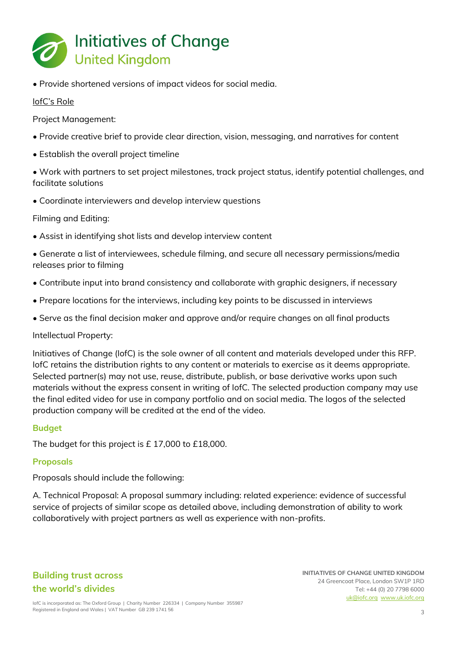

• Provide shortened versions of impact videos for social media.

### IofC's Role

Project Management:

- Provide creative brief to provide clear direction, vision, messaging, and narratives for content
- Establish the overall project timeline

• Work with partners to set project milestones, track project status, identify potential challenges, and facilitate solutions

• Coordinate interviewers and develop interview questions

Filming and Editing:

- Assist in identifying shot lists and develop interview content
- Generate a list of interviewees, schedule filming, and secure all necessary permissions/media releases prior to filming
- Contribute input into brand consistency and collaborate with graphic designers, if necessary
- Prepare locations for the interviews, including key points to be discussed in interviews
- Serve as the final decision maker and approve and/or require changes on all final products

Intellectual Property:

Initiatives of Change (IofC) is the sole owner of all content and materials developed under this RFP. IofC retains the distribution rights to any content or materials to exercise as it deems appropriate. Selected partner(s) may not use, reuse, distribute, publish, or base derivative works upon such materials without the express consent in writing of IofC. The selected production company may use the final edited video for use in company portfolio and on social media. The logos of the selected production company will be credited at the end of the video.

### **Budget**

The budget for this project is £ 17,000 to £18,000.

### **Proposals**

Proposals should include the following:

A. Technical Proposal: A proposal summary including: related experience: evidence of successful service of projects of similar scope as detailed above, including demonstration of ability to work collaboratively with project partners as well as experience with non-profits.

# **Building trust across the world's divides**

**INITIATIVES OF CHANGE UNITED KINGDOM** 24 Greencoat Place, London SW1P 1RD Tel: +44 (0) 20 7798 6000 [uk@iofc.org](mailto:uk@iofc.org) [www.uk.iofc.org](https://uk.iofc.org/)